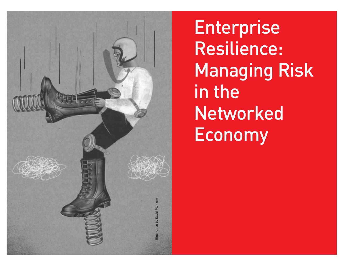

**Enterprise** Resilience: Managing Risk in the **Networked** Economy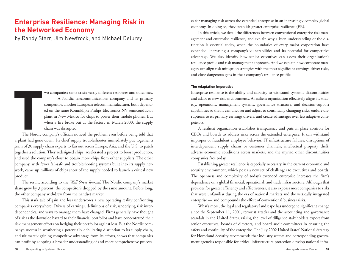# **Enterprise Resilience: Managing Risk in the Networked Economy**

by Randy Starr, Jim Newfrock, and Michael Delurey

wo companies; same crisis; vastly different responses and outcomes. A Nordic telecommunications company and its primary competitor, another European telecom manufacturer, both depended on the same Koninklijke Philips Electronics NV semiconductor plant in New Mexico for chips to power their mobile phones. But when a fire broke out at the factory in March 2000, the supply chain was disrupted.

together a solution<br>and used the company, with fe<br>company, with fe<br>work, came up n<br>product.<br>The result, a The Nordic company's officials noticed the problem even before being told that a plant had gone down. Its chief supply troubleshooter immediately put together a team of 30 supply chain experts to fan out across Europe, Asia, and the U.S. to patch together a solution. They redesigned chips, accelerated a project to boost production, and used the company's clout to obtain more chips from other suppliers. The other company, with fewer fail-safe and troubleshooting systems built into its supply network, came up millions of chips short of the supply needed to launch a critical new product.

The result, according to the *Wall Street Journal*: The Nordic company's market share grew by 3 percent; the competitor's dropped by the same amount. Before long, the other company withdrew from the handset market.

This stark tale of gain and loss underscores a new operating reality confronting companies everywhere: Drivers of earnings, definitions of risk, underlying risk interdependencies, and ways to manage them have changed. Firms generally have thought of risk as the downside hazard to their financial portfolios and have concentrated their risk management efforts on hedging their portfolios against loss. But the Nordic company's success in weathering a potentially debilitating disruption to its supply chain, and ultimately gaining competitive advantage from its efforts, shows that companies can profit by adopting a broader understanding of and more comprehensive processes for managing risk across the extended enterprise in an increasingly complex global economy. In doing so, they establish greater enterprise resilience (ER).

In this article, we detail the differences between conventional enterprise risk management and enterprise resilience, and explain why a keen understanding of the distinction is essential today, when the boundaries of every major corporation have expanded, increasing a company's vulnerabilities and its potential for competitive advantage. We also identify how senior executives can assess their organization's resilience profile and risk management approach. And we explain how corporate managers can align risk mitigation strategies with the most significant earnings-driver risks, and close dangerous gaps in their company's resilience profile.

#### **The Adaptation Imperative**

Enterprise resilience is the ability and capacity to withstand systemic discontinuities and adapt to new risk environments. A resilient organization effectively aligns its strategy, operations, management systems, governance structure, and decision-support capabilities so that it can uncover and adjust to continually changing risks, endure disruptions to its primary earnings drivers, and create advantages over less adaptive competitors.

A resilient organization establishes transparency and puts in place controls for CEOs and boards to address risks across the extended enterprise. It can withstand improper or fraudulent employee behavior, IT infrastructure failures, disruptions of interdependent supply chains or customer channels, intellectual property theft, adverse economic conditions across markets, and the myriad other discontinuities companies face today.

Establishing greater resilience is especially necessary in the current economic and security environment, which poses a new set of challenges to executives and boards. The openness and complexity of today's extended enterprise increases the firm's dependence on a global financial, operational, and trade infrastructure. Although that provides for greater efficiency and effectiveness, it also exposes most companies to risks that were unfamiliar during the era of national markets and the vertically integrated enterprise — and compounds the effect of conventional business risks.

What's more, the legal and regulatory landscape has undergone significant change since the September 11, 2001, terrorist attacks and the accounting and governance scandals in the United States, raising the level of diligence stakeholders expect from senior executives, boards of directors, and board audit committees in ensuring the safety and continuity of the enterprise. The July 2002 United States' National Strategy for Homeland Security recommends that industry sectors and corresponding government agencies responsible for critical infrastructure protection develop national infra-

**T**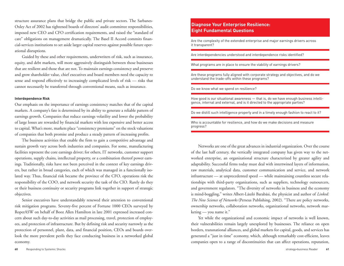structure assurance plans that bridge the public and private sectors. The Sarbanes-Oxley Act of 2002 has tightened boards of directors' audit committee responsibilities, imposed new CEO and CFO certification requirements, and raised the "standard of care" obligations on management dramatically. The Basel II Accord commits financial-services institutions to set aside larger capital reserves against possible future operational disruptions.

Guided by these and other requirements, underwriters of risk, such as insurance, equity, and debt markets, will more aggressively distinguish between those businesses that are resilient and those that are not. To maintain earnings consistency and preserve and grow shareholder value, chief executives and board members need the capacity to sense and respond effectively to increasingly complicated levels of risk — risks that cannot necessarily be transferred through conventional means, such as insurance.

#### **Interdependence Risk**

Our emphasis on the importance of earnings consistency matches that of the capital markets. A company's fate is determined by its ability to generate a reliable pattern of earnings growth. Companies that reduce earnings volatility and lower the probability of large losses are rewarded by financial markets with less expensive and better access to capital. What's more, markets place "consistency premiums" on the stock valuations of companies that both promise and produce a steady pattern of increasing profits.

The business activities that enable the firm to gain a competitive advantage and sustain growth vary across both industries and companies. For some, manufacturing facilities represent the core earnings driver; for others, IT networks, customer support operations, supply chains, intellectual property, or a combination thereof power earnings. Traditionally, risks have not been perceived in the context of key earnings drivers, but rather in broad categories, each of which was managed in a functionally isolated way. Thus, financial risk became the province of the CFO, operations risk the responsibility of the COO, and network security the task of the CIO. Rarely do they or their business continuity or security programs link together in support of strategic objectives.

Senior executives have understandably renewed their attention to conventional risk mitigation programs. Seventy-five percent of Fortune 1000 CEOs surveyed by RoperASW on behalf of Booz Allen Hamilton in late 2001 expressed increased concern about such day-to-day activities as mail processing, travel, protection of employees, and protection of infrastructure. But by defining risk and security narrowly as the protection of personnel, plant, data, and financial position, CEOs and boards overlook the more prevalent perils they face conducting business in a networked global economy.

### **Diagnose Your Enterprise Resilience: Eight Fundamental Questions**

Are the complexity of the extended enterprise and major earnings drivers across it transparent?

Are interdependencies understood and interdependence risks identified?

What programs are in place to ensure the viability of earnings drivers?

Are these programs fully aligned with corporate strategy and objectives, and do we understand the trade-offs within these programs?

#### Do we know what we spend on resilience?

How good is our situational awareness — that is, do we have enough business intelligence, internal and external, and is it directed to the appropriate parties?

Do we distill such intelligence properly and in a timely enough fashion to react to it?

Who is accountable for resilience, and how do we make decisions and measure progress?

Networks are one of the great advances in industrial organization. Over the course of the last half century, the vertically integrated company has given way to the networked enterprise, an organizational structure characterized by greater agility and adaptability. Successful firms today must deal with intertwined layers of information, raw materials, analytical data, customer communication and service, and network infrastructure — at unprecedented speed — while maintaining countless secure relationships with third-party organizations, such as suppliers, technology outsourcers, and government regulators. "The diversity of networks in business and the economy is mind-boggling," writes Albert-László Barabási, the physicist and author of *Linked: The New Science of Networks* (Perseus Publishing, 2002). "There are policy networks, ownership networks, collaboration networks, organizational networks, network marketing — you name it."

Yet while the organizational and economic impact of networks is well known, their vulnerabilities remain largely unexplored by businesses. The reliance on open borders, transnational alliances, and global markets for capital, goods, and services has generated a "just in time" economy, which, although remarkably cost-efficient, leaves companies open to a range of discontinuities that can affect operations, reputation,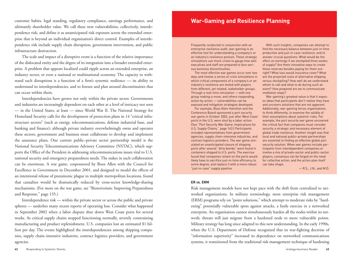customer habits, legal standing, regulatory compliance, earnings performance, and ultimately shareholder value. We call these new vulnerabilities, collectively, interdependence risk, and define it as unanticipated risk exposure across the extended enterprise that is beyond an individual organization's direct control. Examples of interdependence risk include supply chain disruption, government intervention, and public infrastructure destruction.

The scale and impact of a disruptive event is a function of the relative importance of the dislocated entity and the degree of its integration into a broader extended enterprise. A problem that appears localized could ripple across an extended enterprise, an industry sector, or even a national or multinational economy. The capacity to withstand such disruptions is a function of a firm's systemic resilience — its ability to understand its interdependencies, and to foresee and plan around discontinuities that can occur within them.

Interdependencies have grown not only within the private sector. Governments and industries are increasingly dependent on each other at a level of intricacy not seen — in the United States, at least — since World War II. The National Strategy for Homeland Security calls for the development of protection plans in 14 "critical infrastructure sectors" (such as energy, telecommunications, defense industrial base, and banking and finance); although private industry overwhelmingly owns and operates these sectors, government and business must collaborate to develop and implement the assurance plans. One current public–private sector partnership model is the National Security Telecommunications Advisory Committee (NSTAC), which supports the Office of the President in addressing telecommunications issues vital to U.S. national security and emergency preparedness needs. The stakes in such collaboration can be enormous. A war game, cosponsored by Booz Allen with the Council for Excellence in Government in December 2001, and designed to model the effects of an intentional release of pneumonic plague in multiple metropolitan locations, found that casualties would be dramatically reduced by cross-sector knowledge-sharing mechanisms. (For more on the war game, see "Bioterrorism: Improving Preparedness and Response," page 135.)

Interdependence risk — within the private sector or across the public and private spheres — underlies many recent reports of operating loss. Consider what happened in September 2002 when a labor dispute shut down West Coast ports for several weeks. As critical supply chains stopped functioning normally, severely constraining manufacturing and product replenishment, U.S. companies lost an estimated \$1 billion per day. The events highlighted the interdependencies among shipping companies, supply chain –intensive industries, contract logistics providers, and government agencies.

#### **62** Responding to Systemic Shocks

## **War-Gaming and Resilience Planning**

Frequently conducted in conjunction with an enterprise resilience audit, war-gaming is an effective tool for understanding a company's or an industry's resilience posture. These strategic simulations use mock crises to gauge how well executives and staff are prepared to face serious business discontinuities.

The most effective war games occur over two days and involve a series of crisis simulations in which critical components of a company's or an industry's resilience are tested with players from different, yet related, stakeholder groups. Through a real-time simulation — with one group making a move, and others responding, action by action — vulnerabilities can be exposed and mitigation strategies developed.

For example, Booz Allen Hamilton and the Conference Board sponsored a port security war game in October 2002, just after West Coast ports in the U.S. were shut by a labor action. (See "Port Security War Game: Implications for U.S. Supply Chains," page 143.) Participants included representatives from government agencies, supply chain–intensive industries, and contract logistics providers. The war game simulated an unanticipated closure of shipping ports after several "dirty bombs" were found in containers shipped to U.S. ports. The exercise found that companies reliant on the ports would likely have to sacrifice just-in-time efficiency to some degree, and replace it with a more robust "just-in-case" supply pipeline.

With such insights, companies can attempt to find the necessary balance between just-in-time production and just-in-case resilience, and to answer crucial questions: What would be the effect on earnings if we stockpiled three weeks of supply? Are there innovative ways to create these reserves besides paying for them outright? What loss would insurance cover? What are the projected costs of alternative shipping versus stockpiling? How well do we understand whom to call and what to do during such an event? How prepared are we to communicate mediation steps?

War-gaming's greatest value is that it exposes ideas that participants don't realize they have and uncovers solutions that are not apparent. Additionally, war-gaming forces organizations to think differently, to examine the validity of their assumptions about systemic risks. For example, the port security war game uncovered the critical fact that companies must consider security a strategic and necessary element of global trade resilience. Another insight was that local and national public–private partnerships are essential to finding an effective global port security solution. When war games include participants from interdependent companies or involve a mix of private-sector and public-sector players, consensus can be forged on the need for collective action, and the action plan itself can take shape.

— R.S., J.N., and M.D.

#### **ER vs. ERM**

Risk management models have not kept pace with the shift from centralized to networked organizations. In military terminology, most enterprise risk management (ERM) programs rely on "point solutions," which attempt to moderate risks by "hardening" potentially vulnerable spots against attacks, a futile exercise in a networked enterprise. An organization cannot simultaneously harden all the nodes within its network; threats will just migrate from a hardened node to more vulnerable points. Military strategy has long since adapted to this new understanding. In the early 1990s, when the U.S. Department of Defense recognized that its war-fighting doctrine of "information superiority" increased its dependence on networked communications systems, it transitioned from the traditional risk management technique of hardening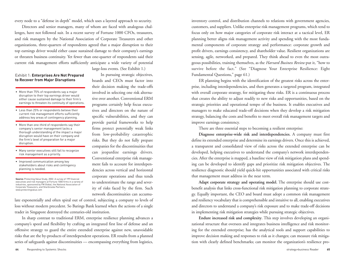every node to a "defense in depth" model, which uses a layered approach to security.

Directors and senior managers, many of whom are faced with analogous challenges, have not followed suit. In a recent survey of Fortune 1000 CFOs, treasurers, and risk managers by the National Association of Corporate Treasurers and other organizations, three-quarters of respondents agreed that a major disruption to their top earnings driver would either cause sustained damage to their company's earnings or threaten business continuity. Yet fewer than one-quarter of respondents said their current risk management efforts sufficiently anticipate a wide variety of potential

large-loss events. (See Exhibit 1.)

In pursuing strategic objectives, boards and CEOs must factor into their decision making the trade-offs involved in selecting one risk alternative over another. Conventional ERM programs certainly help focus executives and directors on the nature of specific vulnerabilities, and they can provide partial frameworks to help firms protect potentially weak links from low-probability catastrophic risks. But they do not fully prepare companies for the discontinuities that can jeopardize earnings drivers. Conventional enterprise risk management fails to account for interdependencies across vertical and horizontal corporate operations and thus tends to underestimate the range and severity of risks faced by the firm. Such network discontinuities can accumu-

#### Exhibit 1: **Enterprises Are Not Prepared to Recover from Major Disruptions**

- More than 75% of respondents say a major disruption to their top earnings driver would either cause sustained damage to their firm's earnings to threaten its continuity of operations.
- Less than 25% or respondents believe their current risk management efforts sufficiently address key areas of contingency planning.
- More than one-third of respondents say their company's senior management lacks a thorough understanding of the impact a major disruption would have on their company and the firm's level of preparation for a major disruption.
- Many senior executives still fail to recognize risk management as a priority.
- Improved communication among key stakeholders about risks and contingency planning is needed.

**Source:** Protecting Value Study, 2002. A survey of 199 financial executives and risk managers at Fortune 1000 firms in a variety of industries, sponsored by FM Global, the National Association of Corporate Treasurers, and Sherbrooke Partners. www.protectingvalue.com

late exponentially and often spiral out of control, subjecting a company to levels of loss without modern precedent. So Barings Bank learned when the actions of a single trader in Singapore destroyed the centuries-old institution.

In sharp contrast to traditional ERM, enterprise resilience planning advances a company 's speed and flexibility by crafting an integrated first line of defense and an offensive strategy to guard the entire extended enterprise against new, unavoidable risks that are the by-products of interdependent operations. ER results from a planned series of safeguards against discontinuities — encompassing everything from logistics,

inventory control, and distribution channels to relations with government agencies, customers, and suppliers. Unlike enterprise risk management programs, which tend to focus only on how major categories of corporate risk interact at a tactical level, ER planning better aligns risk management activity and spending with the most fundamental components of corporate strategy and performance: corporate growth and profit drivers, earnings consistency, and shareholder value. Resilient organizations are sensing, agile, networked, and prepared. They think ahead to even the most outrageous possibilities, training themselves, as the *Harvard Business Review* put it, "how to survive before the fact." (See "Diagnose Your Enterprise Resilience: Eight Fundamental Questions," page 61.)

ER planning begins with the identification of the greatest risks across the enterprise, including interdependencies, and then generates a targeted program, integrated with overall corporate strategy, for mitigating these risks. ER is a continuous process that creates the ability to adjust readily to new risks and opportunities, based on the strategic priorities and operational tempo of the business. It enables executives and managers to make educated trade-off decisions when they develop a risk mitigation strategy, balancing the costs and benefits to meet overall risk management targets and improve earnings consistency.

There are three essential steps to becoming a resilient enterprise:

**Diagnose enterprise-wide risk and interdependencies.** A company must first define its extended enterprise and determine its earnings drivers. Once this is achieved, a transparent and consolidated view of risks across the extended enterprise can be developed, helping executives to understand the company's network interdependencies. After the enterprise is mapped, a baseline view of risk mitigation plans and spending can be developed to identify gaps and prioritize risk mitigation objectives. The resilience diagnostic should yield quick-hit opportunities associated with critical risks that management must address in the near term.

**Adapt corporate strategy and operating model.** The enterprise should use costbenefit analysis that links cross-functional risk mitigation planning to corporate strategy. Equally important, the CEO and board must adopt a common risk management and resiliency vocabulary that is comprehensible and intuitive to all, enabling executives and directors to understand a company's risk exposure and to make trade-off decisions in implementing risk mitigation strategies while pursuing strategic objectives.

**Endure increased risk and complexity**. This step involves developing an organizational structure that oversees and integrates business intelligence and risk monitoring for the extended enterprise; has the analytical tools and support capabilities to improve decision making and responses to risk as it changes; can measure risk mitigation with clearly defined benchmarks; can monitor the organization's resilience pro-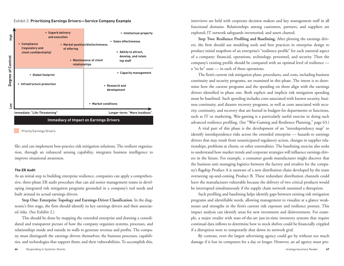#### Exhibit 2: **Prioritizing Earnings Drivers—Service Company Example**



Priority Earnings Drivers

file; and can implement best-practice risk mitigation solutions. The resilient organization, through an enhanced sensing capability, integrates business intelligence to improve situational awareness.

#### **The ER Audit**

As an initial step to building enterprise resilience, companies can apply a comprehensive, three-phase ER audit procedure that can aid senior management teams in developing integrated risk mitigation programs grounded in a company's real needs and built around its actual earnings drivers.

**Step One: Enterprise Topology and Earnings-Driver Classification.** In the diagnostic's first stage, the firm should identify its key earnings drivers and their associated risks. (See Exhibit 2.)

This should be done by mapping the extended enterprise and drawing a consolidated and transparent picture of how the company organizes systems, processes, and relationships inside and outside its walls to generate revenue and profits. The company must distinguish the earnings drivers themselves; the business processes, capabilities, and technologies that support them; and their vulnerabilities. To accomplish this,

interviews are held with corporate decision makers and key management staff in all functional domains. Relationships among customers, partners, and suppliers are explored; IT network safeguards inventoried; and assets charted.

**Step Two: Resilience Profiling and Baselining.** After plotting the earnings drivers, the firm should use modeling tools and best practices in enterprise design to produce initial snapshots of an enterprise's "resilience profile" for each essential aspect of a company: financial, operations, technology, personnel, and security. Then the company's existing profile should be compared with an optimal level of resilience <sup>a</sup>"to be" state — in each of these operations.

The firm's current risk mitigation plans, procedures, and costs, including business continuity and security programs, are examined in this phase. The intent is to determine how the current programs and the spending on them align with the earnings drivers identified in phase one. Both explicit and implicit risk mitigation spending must be baselined. Such spending includes costs associated with known security, business continuity, and disaster recovery programs, as well as costs associated with security, continuity, and recovery that are buried in budgets for departments or functions, such as IT or marketing. War-gaming is a particularly useful exercise in doing such advanced resilience profiling. (See "War-Gaming and Resilience Planning," page 63.)

A vital part of this phase is the development of an "interdependency map" to identify interdependence risks across the extended enterprise — hazards to earnings drivers that may result from unanticipated regulatory action, changes in supplier relationships, problems at clients, or other externalities. The baselining exercise also seeks to understand how market trends and corporate strategies will influence earnings drivers in the future. For example, a consumer goods manufacturer might discover that the business unit managing logistics between the factory and retailers for the company's flagship Product A is unaware of a new distribution chain developed by the team overseeing up-and-coming Product B. These redundant distribution channels could leave the manufacturer vulnerable because the delivery of two critical products would be interrupted simultaneously if the supply chain network sustained a disruption.

Such profiling and baselining helps identify gaps between existing risk mitigation programs and identifiable needs, allowing management to visualize at a glance weaknesses and strengths in the firm's current risk exposure and resilience posture. This impact analysis can identify areas for new investment and disinvestment. For exam<sup>p</sup>le, a major retailer with state-of-the-art just-in-time inventory systems that require continual data inflows to determine how to stock shelves could be financially crippled if a disruption were to temporarily shut down its network grid.

By contrast, even the largest advertising agency could get by without too much damage if it lost its computers for a day or longer. However, an ad agency must pro